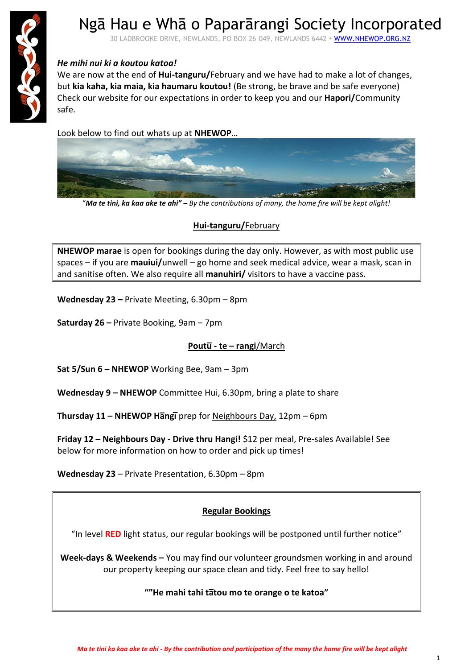

## Ngā Hau e Whā o Paparārangi Society Incorporated

30 LADBROOKE DRIVE, NEWLANDS, PO BOX 26-049, NEWLANDS 6442 · WWW.NHEWOP.ORG.NZ

#### *He mihi nui ki a koutou katoa!*

We are now at the end of **Hui-tanguru/**February and we have had to make a lot of changes, but **kia kaha, kia maia, kia haumaru koutou!** (Be strong, be brave and be safe everyone) Check our website for our expectations in order to keep you and our **Hapori/**Community safe.

Look below to find out whats up at **NHEWOP**…



"*Ma te tini, ka kaa ake te ahi" – By the contributions of many, the home fire will be kept alight!*

#### **Hui-tanguru/**February

**NHEWOP marae** is open for bookings during the day only. However, as with most public use spaces – if you are **mauiui/**unwell – go home and seek medical advice, wear a mask, scan in and sanitise often. We also require all **manuhiri/** visitors to have a vaccine pass.

**Wednesday 23 –** Private Meeting, 6.30pm – 8pm

**Saturday 26 –** Private Booking, 9am – 7pm

#### **Poutu̅- te – rangi**/March

**Sat 5/Sun 6 – NHEWOP** Working Bee, 9am – 3pm

**Wednesday 9 – NHEWOP** Committee Hui, 6.30pm, bring a plate to share

**Thursday 11 – NHEWOP Ha̅ngi̅**prep for Neighbours Day, 12pm – 6pm

**Friday 12 – Neighbours Day - Drive thru Hangi!** \$12 per meal, Pre-sales Available! See below for more information on how to order and pick up times!

**Wednesday 23** – Private Presentation, 6.30pm – 8pm

#### **Regular Bookings**

"In level **RED** light status, our regular bookings will be postponed until further notice"

**Week-days & Weekends –** You may find our volunteer groundsmen working in and around our property keeping our space clean and tidy. Feel free to say hello!

#### **""He mahi tahi ta̅tou mo te orange o te katoa"**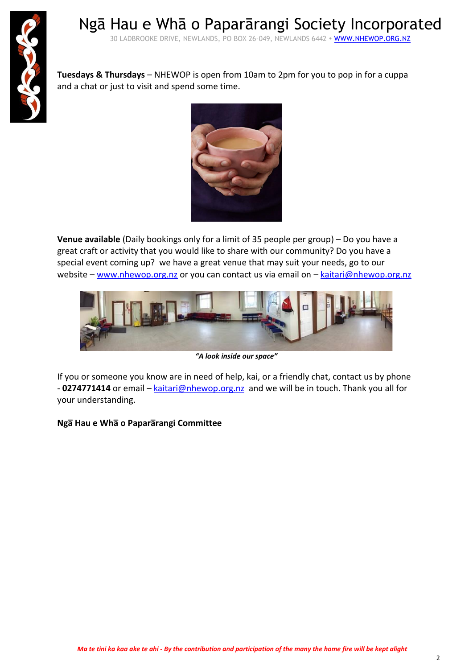

Ngā Hau e Whā o Paparārangi Society Incorporated 30 LADBROOKE DRIVE, NEWLANDS, PO BOX 26-049, NEWLANDS 6442 · WWW.NHEWOP.ORG.NZ

**Tuesdays & Thursdays** – NHEWOP is open from 10am to 2pm for you to pop in for a cuppa and a chat or just to visit and spend some time.



**Venue available** (Daily bookings only for a limit of 35 people per group) – Do you have a great craft or activity that you would like to share with our community? Do you have a special event coming up? we have a great venue that may suit your needs, go to our website – [www.nhewop.org.nz](http://www.nhewop.org.nz/) or you can contact us via email on – [kaitari@nhewop.org.nz](mailto:kaitari@nhewop.org.nz)



*"A look inside our space"*

If you or someone you know are in need of help, kai, or a friendly chat, contact us by phone - **0274771414** or email – [kaitari@nhewop.org.nz](mailto:kaitari@nhewop.org.nz) and we will be in touch. Thank you all for your understanding.

**Nga̅Hau e Wha̅o Papara̅rangi Committee**